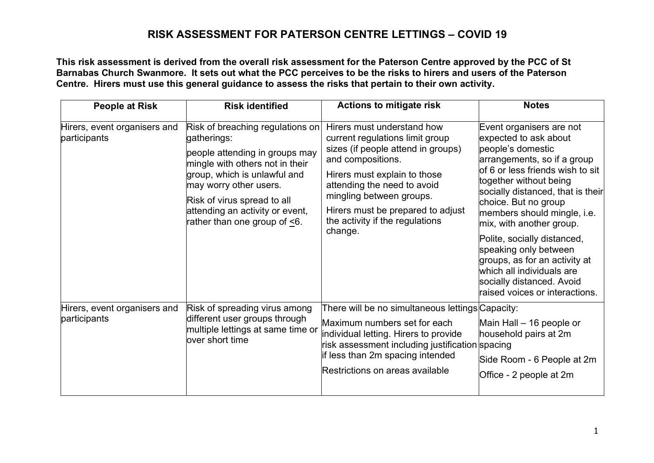**This risk assessment is derived from the overall risk assessment for the Paterson Centre approved by the PCC of St Barnabas Church Swanmore. It sets out what the PCC perceives to be the risks to hirers and users of the Paterson Centre. Hirers must use this general guidance to assess the risks that pertain to their own activity.**

| <b>People at Risk</b>                        | <b>Risk identified</b>                                                                                                                                                                                                                                                           | <b>Actions to mitigate risk</b>                                                                                                                                                                                                                                                                        | <b>Notes</b>                                                                                                                                                                                                                                                                                                                                                                                                                                                                     |
|----------------------------------------------|----------------------------------------------------------------------------------------------------------------------------------------------------------------------------------------------------------------------------------------------------------------------------------|--------------------------------------------------------------------------------------------------------------------------------------------------------------------------------------------------------------------------------------------------------------------------------------------------------|----------------------------------------------------------------------------------------------------------------------------------------------------------------------------------------------------------------------------------------------------------------------------------------------------------------------------------------------------------------------------------------------------------------------------------------------------------------------------------|
| Hirers, event organisers and<br>participants | Risk of breaching regulations on<br>gatherings:<br>people attending in groups may<br>mingle with others not in their<br>group, which is unlawful and<br>may worry other users.<br>Risk of virus spread to all<br>attending an activity or event,<br>rather than one group of <6. | Hirers must understand how<br>current regulations limit group<br>sizes (if people attend in groups)<br>and compositions.<br>Hirers must explain to those<br>attending the need to avoid<br>mingling between groups.<br>Hirers must be prepared to adjust<br>the activity if the regulations<br>change. | Event organisers are not<br>expected to ask about<br>people's domestic<br>arrangements, so if a group<br>of 6 or less friends wish to sit<br>together without being<br>socially distanced, that is their<br>choice. But no group<br>members should mingle, i.e.<br>mix, with another group.<br>Polite, socially distanced,<br>speaking only between<br>groups, as for an activity at<br>which all individuals are<br>socially distanced. Avoid<br>raised voices or interactions. |
| Hirers, event organisers and<br>participants | Risk of spreading virus among<br>different user groups through<br>multiple lettings at same time or<br>over short time                                                                                                                                                           | There will be no simultaneous lettings Capacity:<br>Maximum numbers set for each<br>individual letting. Hirers to provide<br>risk assessment including justification spacing<br>if less than 2m spacing intended<br>Restrictions on areas available                                                    | Main Hall - 16 people or<br>household pairs at 2m<br>Side Room - 6 People at 2m<br>Office - 2 people at 2m                                                                                                                                                                                                                                                                                                                                                                       |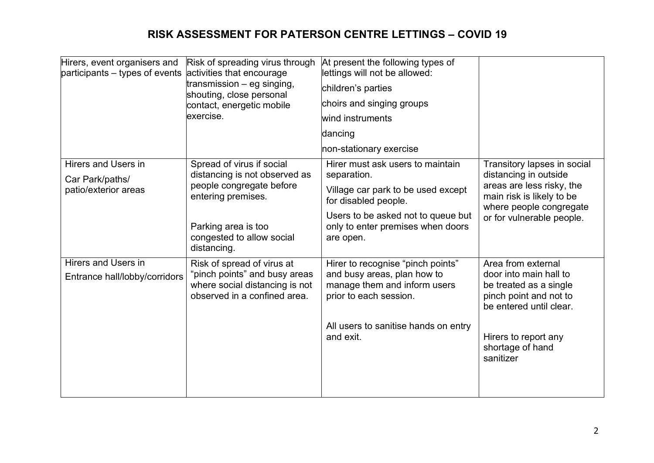| Hirers, event organisers and<br>$participants - types of events$ | Risk of spreading virus through<br>activities that encourage                                    | At present the following types of<br>lettings will not be allowed:                    |                                                                                                       |
|------------------------------------------------------------------|-------------------------------------------------------------------------------------------------|---------------------------------------------------------------------------------------|-------------------------------------------------------------------------------------------------------|
|                                                                  | transmission $-$ eg singing,<br>shouting, close personal                                        | children's parties                                                                    |                                                                                                       |
|                                                                  | contact, energetic mobile                                                                       | choirs and singing groups                                                             |                                                                                                       |
|                                                                  | exercise.                                                                                       | wind instruments                                                                      |                                                                                                       |
|                                                                  |                                                                                                 | dancing                                                                               |                                                                                                       |
|                                                                  |                                                                                                 | non-stationary exercise                                                               |                                                                                                       |
| Hirers and Users in<br>Car Park/paths/                           | Spread of virus if social<br>distancing is not observed as                                      | Hirer must ask users to maintain<br>separation.                                       | Transitory lapses in social<br>distancing in outside                                                  |
| patio/exterior areas                                             | people congregate before<br>entering premises.                                                  | Village car park to be used except<br>for disabled people.                            | areas are less risky, the<br>main risk is likely to be<br>where people congregate                     |
|                                                                  | Parking area is too<br>congested to allow social<br>distancing.                                 | Users to be asked not to queue but<br>only to enter premises when doors<br>are open.  | or for vulnerable people.                                                                             |
| <b>Hirers and Users in</b>                                       | Risk of spread of virus at                                                                      | Hirer to recognise "pinch points"                                                     | Area from external                                                                                    |
| Entrance hall/lobby/corridors                                    | "pinch points" and busy areas<br>where social distancing is not<br>observed in a confined area. | and busy areas, plan how to<br>manage them and inform users<br>prior to each session. | door into main hall to<br>be treated as a single<br>pinch point and not to<br>be entered until clear. |
|                                                                  |                                                                                                 | All users to sanitise hands on entry<br>and exit.                                     | Hirers to report any<br>shortage of hand<br>sanitizer                                                 |
|                                                                  |                                                                                                 |                                                                                       |                                                                                                       |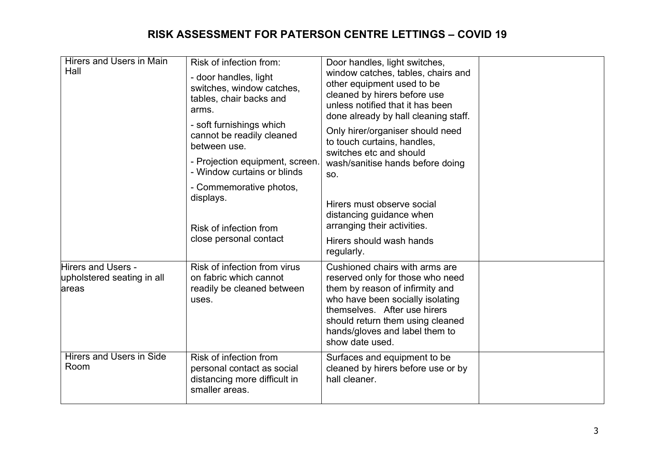| <b>Hirers and Users in Main</b><br>Hall                           | Risk of infection from:<br>- door handles, light<br>switches, window catches,<br>tables, chair backs and<br>arms.<br>- soft furnishings which<br>cannot be readily cleaned<br>between use. | Door handles, light switches,<br>window catches, tables, chairs and<br>other equipment used to be<br>cleaned by hirers before use<br>unless notified that it has been<br>done already by hall cleaning staff.<br>Only hirer/organiser should need<br>to touch curtains, handles,<br>switches etc and should |  |
|-------------------------------------------------------------------|--------------------------------------------------------------------------------------------------------------------------------------------------------------------------------------------|-------------------------------------------------------------------------------------------------------------------------------------------------------------------------------------------------------------------------------------------------------------------------------------------------------------|--|
|                                                                   | - Projection equipment, screen.<br>- Window curtains or blinds                                                                                                                             | wash/sanitise hands before doing<br>SO.                                                                                                                                                                                                                                                                     |  |
|                                                                   | - Commemorative photos,<br>displays.<br>Risk of infection from                                                                                                                             | Hirers must observe social<br>distancing guidance when<br>arranging their activities.                                                                                                                                                                                                                       |  |
|                                                                   | close personal contact                                                                                                                                                                     | Hirers should wash hands<br>regularly.                                                                                                                                                                                                                                                                      |  |
| <b>Hirers and Users -</b><br>upholstered seating in all<br>lareas | Risk of infection from virus<br>on fabric which cannot<br>readily be cleaned between<br>uses.                                                                                              | Cushioned chairs with arms are<br>reserved only for those who need<br>them by reason of infirmity and<br>who have been socially isolating<br>themselves. After use hirers<br>should return them using cleaned<br>hands/gloves and label them to<br>show date used.                                          |  |
| <b>Hirers and Users in Side</b><br>Room                           | Risk of infection from<br>personal contact as social<br>distancing more difficult in<br>smaller areas.                                                                                     | Surfaces and equipment to be<br>cleaned by hirers before use or by<br>hall cleaner.                                                                                                                                                                                                                         |  |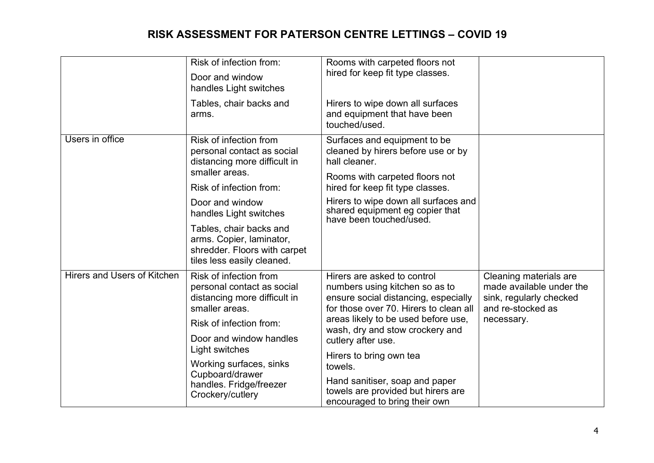|                             | Risk of infection from:<br>Door and window<br>handles Light switches                                              | Rooms with carpeted floors not<br>hired for keep fit type classes.                                                                                                                                                                                                                                                                                                                             |                                                                                                                  |
|-----------------------------|-------------------------------------------------------------------------------------------------------------------|------------------------------------------------------------------------------------------------------------------------------------------------------------------------------------------------------------------------------------------------------------------------------------------------------------------------------------------------------------------------------------------------|------------------------------------------------------------------------------------------------------------------|
|                             | Tables, chair backs and<br>arms.                                                                                  | Hirers to wipe down all surfaces<br>and equipment that have been<br>touched/used.                                                                                                                                                                                                                                                                                                              |                                                                                                                  |
| Users in office             | Risk of infection from<br>personal contact as social<br>distancing more difficult in<br>smaller areas.            | Surfaces and equipment to be<br>cleaned by hirers before use or by<br>hall cleaner.<br>Rooms with carpeted floors not<br>hired for keep fit type classes.<br>Hirers to wipe down all surfaces and<br>shared equipment eg copier that<br>have been touched/used.                                                                                                                                |                                                                                                                  |
|                             | Risk of infection from:                                                                                           |                                                                                                                                                                                                                                                                                                                                                                                                |                                                                                                                  |
|                             | Door and window<br>handles Light switches                                                                         |                                                                                                                                                                                                                                                                                                                                                                                                |                                                                                                                  |
|                             | Tables, chair backs and<br>arms. Copier, laminator,<br>shredder. Floors with carpet<br>tiles less easily cleaned. |                                                                                                                                                                                                                                                                                                                                                                                                |                                                                                                                  |
| Hirers and Users of Kitchen | Risk of infection from<br>personal contact as social<br>distancing more difficult in<br>smaller areas.            | Hirers are asked to control<br>numbers using kitchen so as to<br>ensure social distancing, especially<br>for those over 70. Hirers to clean all<br>areas likely to be used before use,<br>wash, dry and stow crockery and<br>cutlery after use.<br>Hirers to bring own tea<br>towels.<br>Hand sanitiser, soap and paper<br>towels are provided but hirers are<br>encouraged to bring their own | Cleaning materials are<br>made available under the<br>sink, regularly checked<br>and re-stocked as<br>necessary. |
|                             | Risk of infection from:                                                                                           |                                                                                                                                                                                                                                                                                                                                                                                                |                                                                                                                  |
|                             | Door and window handles                                                                                           |                                                                                                                                                                                                                                                                                                                                                                                                |                                                                                                                  |
|                             | Light switches<br>Working surfaces, sinks<br>Cupboard/drawer<br>handles. Fridge/freezer<br>Crockery/cutlery       |                                                                                                                                                                                                                                                                                                                                                                                                |                                                                                                                  |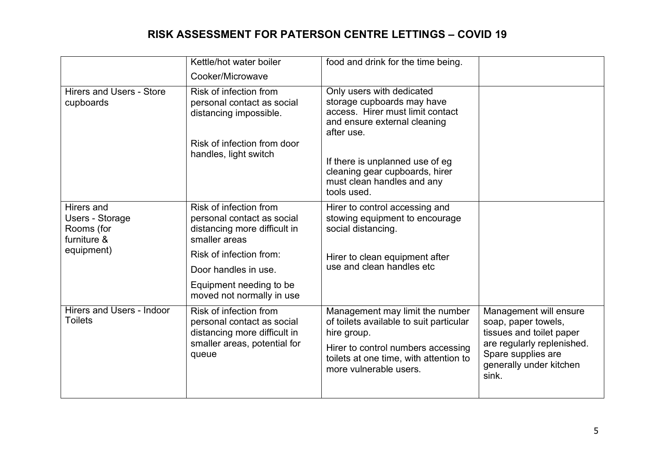|                                                                          | Kettle/hot water boiler                                                                                                       | food and drink for the time being.                                                                                                                                                                  |                                                                                                                                                                   |
|--------------------------------------------------------------------------|-------------------------------------------------------------------------------------------------------------------------------|-----------------------------------------------------------------------------------------------------------------------------------------------------------------------------------------------------|-------------------------------------------------------------------------------------------------------------------------------------------------------------------|
|                                                                          | Cooker/Microwave                                                                                                              |                                                                                                                                                                                                     |                                                                                                                                                                   |
| <b>Hirers and Users - Store</b><br>cupboards                             | Risk of infection from<br>personal contact as social<br>distancing impossible.                                                | Only users with dedicated<br>storage cupboards may have<br>access. Hirer must limit contact<br>and ensure external cleaning<br>after use.                                                           |                                                                                                                                                                   |
|                                                                          | Risk of infection from door<br>handles, light switch                                                                          | If there is unplanned use of eg<br>cleaning gear cupboards, hirer<br>must clean handles and any<br>tools used.                                                                                      |                                                                                                                                                                   |
| Hirers and<br>Users - Storage<br>Rooms (for<br>furniture &<br>equipment) | Risk of infection from<br>personal contact as social<br>distancing more difficult in<br>smaller areas                         | Hirer to control accessing and<br>stowing equipment to encourage<br>social distancing.                                                                                                              |                                                                                                                                                                   |
|                                                                          | Risk of infection from:<br>Door handles in use.<br>Equipment needing to be<br>moved not normally in use                       | Hirer to clean equipment after<br>use and clean handles etc                                                                                                                                         |                                                                                                                                                                   |
| Hirers and Users - Indoor<br><b>Toilets</b>                              | Risk of infection from<br>personal contact as social<br>distancing more difficult in<br>smaller areas, potential for<br>queue | Management may limit the number<br>of toilets available to suit particular<br>hire group.<br>Hirer to control numbers accessing<br>toilets at one time, with attention to<br>more vulnerable users. | Management will ensure<br>soap, paper towels,<br>tissues and toilet paper<br>are regularly replenished.<br>Spare supplies are<br>generally under kitchen<br>sink. |